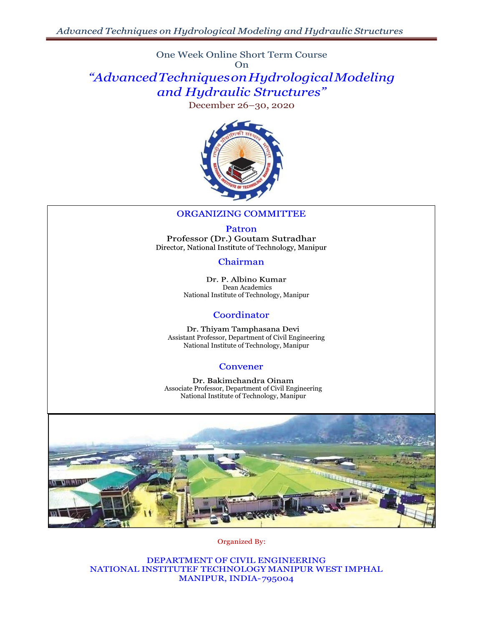One Week Online Short Term Course On

# *"AdvancedTechniquesonHydrologicalModeling and Hydraulic Structures"*

December 26–30, 2020



### **ORGANIZING COMMITTEE**

Patron Professor (Dr.) Goutam Sutradhar Director, National Institute of Technology, Manipur

### Chairman

Dr. P. Albino Kumar Dean Academics National Institute of Technology, Manipur

### Coordinator

Dr. Thiyam Tamphasana Devi Assistant Professor, Department of Civil Engineering National Institute of Technology, Manipur

### **Convener**

Dr. Bakimchandra Oinam Associate Professor, Department of Civil Engineering National Institute of Technology, Manipur



Organized By:

DEPARTMENT OF CIVIL ENGINEERING NATIONAL INSTITUTEF TECHNOLOGY MANIPUR WEST IMPHAL MANIPUR, INDIA-795004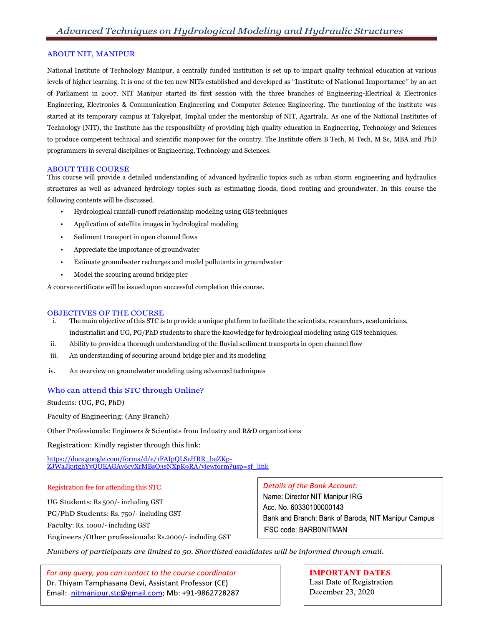#### ABOUT NIT, MANIPUR

National Institute of Technology Manipur, a centrally funded institution is set up to impart quality technical education at various levels of higher learning. It is one of the ten new NITs established and developed as "Institute of National Importance" by an act of Parliament in 2007. NIT Manipur started its first session with the three branches of Engineering-Electrical & Electronics Engineering, Electronics & Communication Engineering and Computer Science Engineering. The functioning of the institute was started at its temporary campus at Takyelpat, Imphal under the mentorship of NIT, Agartrala. As one of the National Institutes of Technology (NIT), the Institute has the responsibility of providing high quality education in Engineering, Technology and Sciences to produce competent technical and scientific manpower for the country. The Institute offers B Tech, M Tech, M Sc, MBA and PhD programmers in several disciplines of Engineering, Technology and Sciences.

#### ABOUT THE COURSE

This course will provide a detailed understanding of advanced hydraulic topics such as urban storm engineering and hydraulics structures as well as advanced hydrology topics such as estimating floods, flood routing and groundwater. In this course the following contents will be discussed.

- Hydrological rainfall-runoff relationship modeling using GIS techniques
- Application of satellite images in hydrological modeling
- Sediment transport in open channel flows
- Appreciate the importance of groundwater
- Estimate groundwater recharges and model pollutants in groundwater
- Model the scouring around bridge pier

A course certificate will be issued upon successful completion this course.

#### OBJECTIVES OF THE COURSE

- i. The main objective of this STC is to provide a unique platform to facilitate the scientists, researchers, academicians, industrialist and UG, PG/PhD students to share the knowledge for hydrological modeling using GIS techniques.
- ii. Ability to provide a thorough understanding of the fluvial sediment transports in open channel flow
- iii. An understanding of scouring around bridge pier and its modeling
- iv. An overview on groundwater modeling using advanced techniques

#### Who can attend this STC through Online?

Students: (UG, PG, PhD)

Faculty of Engineering: (Any Branch)

Other Professionals: Engineers & Scientists from Industry and R&D organizations

Registration: Kindly register through this link:

[https://docs.google.com/forms/d/e/1FAIpQLSeHRR\\_baZKp-](https://docs.google.com/forms/d/e/1FAIpQLSeHRR_baZKp-ZJWaJk3tghYvQUEAGAv6rvXrMBsQ3sNXpK9RA/viewform?usp=sf_link)[ZJWaJk3tghYvQUEAGAv6rvXrMBsQ3sNXpK9RA/viewform?usp=sf\\_link](https://docs.google.com/forms/d/e/1FAIpQLSeHRR_baZKp-ZJWaJk3tghYvQUEAGAv6rvXrMBsQ3sNXpK9RA/viewform?usp=sf_link)

#### Registration fee for attending this STC.

UG Students: Rs 500/- including GST

PG/PhD Students: Rs. 750/- including GST

Faculty: Rs. 1000/- including GST

Engineers /Other professionals: Rs.2000/- including GST

#### **Details of the Bank Account:**

Name: Director NIT Manipur IRG Acc. No. 60330100000143 Bank and Branch: Bank of Baroda, NIT Manipur Campus IFSC code: BARB0NITMAN

*Numbers of participants are limited to 50. Shortlisted candidates will be informed through email.*

For any query, you can contact to the course coordinator Dr. Thiyam Tamphasana Devi, Assistant Professor (CE) Email: nitmanipur.stc@gmail.com; Mb: +91-9862728287

**IMPORTANT DATES** Last Date of Registration December 23, 2020